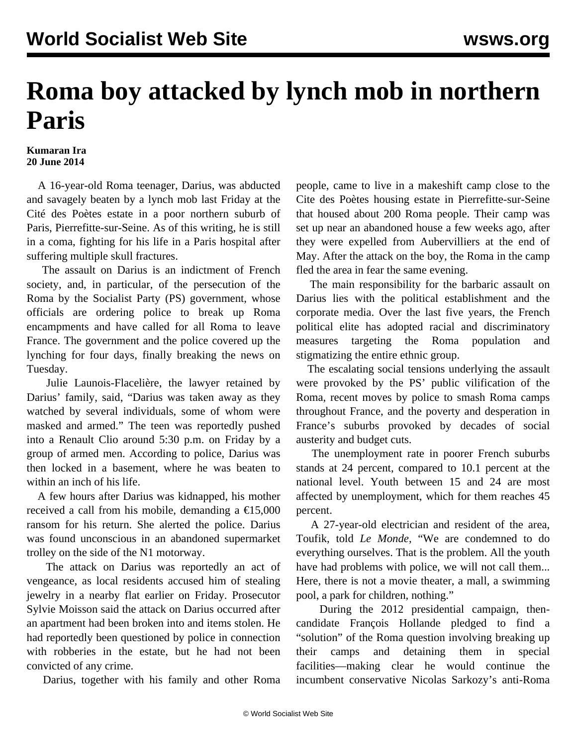## **Roma boy attacked by lynch mob in northern Paris**

## **Kumaran Ira 20 June 2014**

 A 16-year-old Roma teenager, Darius, was abducted and savagely beaten by a lynch mob last Friday at the Cité des Poètes estate in a poor northern suburb of Paris, Pierrefitte-sur-Seine. As of this writing, he is still in a coma, fighting for his life in a Paris hospital after suffering multiple skull fractures.

 The assault on Darius is an indictment of French society, and, in particular, of the persecution of the Roma by the Socialist Party (PS) government, whose officials are ordering police to break up Roma encampments and have called for all Roma to leave France. The government and the police covered up the lynching for four days, finally breaking the news on Tuesday.

 Julie Launois-Flacelière, the lawyer retained by Darius' family, said, "Darius was taken away as they watched by several individuals, some of whom were masked and armed." The teen was reportedly pushed into a Renault Clio around 5:30 p.m. on Friday by a group of armed men. According to police, Darius was then locked in a basement, where he was beaten to within an inch of his life.

 A few hours after Darius was kidnapped, his mother received a call from his mobile, demanding a  $\epsilon$ 15,000 ransom for his return. She alerted the police. Darius was found unconscious in an abandoned supermarket trolley on the side of the N1 motorway.

 The attack on Darius was reportedly an act of vengeance, as local residents accused him of stealing jewelry in a nearby flat earlier on Friday. Prosecutor Sylvie Moisson said the attack on Darius occurred after an apartment had been broken into and items stolen. He had reportedly been questioned by police in connection with robberies in the estate, but he had not been convicted of any crime.

Darius, together with his family and other Roma

people, came to live in a makeshift camp close to the Cite des Poètes housing estate in Pierrefitte-sur-Seine that housed about 200 Roma people. Their camp was set up near an abandoned house a few weeks ago, after they were expelled from Aubervilliers at the end of May. After the attack on the boy, the Roma in the camp fled the area in fear the same evening.

 The main responsibility for the barbaric assault on Darius lies with the political establishment and the corporate media. Over the last five years, the French political elite has adopted racial and discriminatory measures targeting the Roma population and stigmatizing the entire ethnic group.

 The escalating social tensions underlying the assault were provoked by the PS' public vilification of the Roma, recent moves by police to smash Roma camps throughout France, and the poverty and desperation in France's suburbs provoked by decades of social austerity and budget cuts.

 The unemployment rate in poorer French suburbs stands at 24 percent, compared to 10.1 percent at the national level. Youth between 15 and 24 are most affected by unemployment, which for them reaches 45 percent.

 A 27-year-old electrician and resident of the area, Toufik, told *Le Monde*, "We are condemned to do everything ourselves. That is the problem. All the youth have had problems with police, we will not call them... Here, there is not a movie theater, a mall, a swimming pool, a park for children, nothing."

 During the 2012 presidential campaign, thencandidate François Hollande pledged to find a "solution" of the Roma question involving breaking up their camps and detaining them in special facilities—making clear he would continue the incumbent conservative Nicolas Sarkozy's anti-Roma